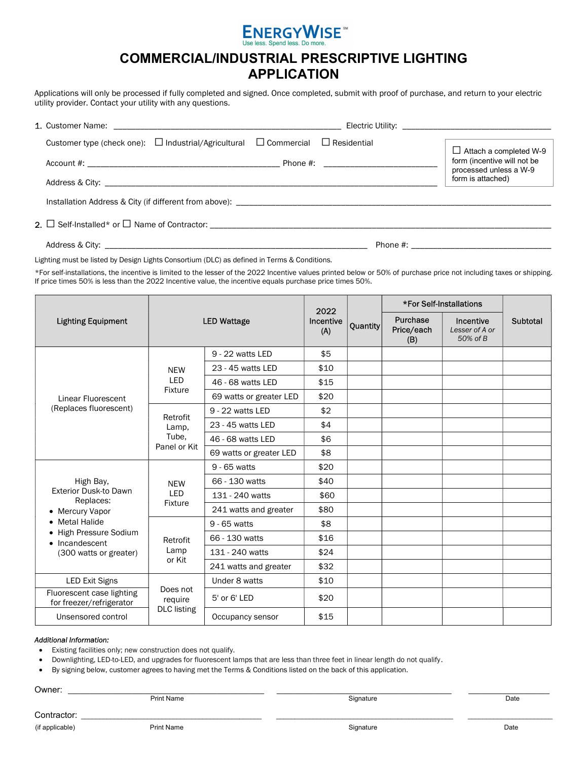

## COMMERCIAL/INDUSTRIAL PRESCRIPTIVE LIGHTING APPLICATION

Applications will only be processed if fully completed and signed. Once completed, submit with proof of purchase, and return to your electric utility provider. Contact your utility with any questions.

| Customer type (check one): $\Box$ Industrial/Agricultural $\Box$ Commercial $\Box$ Residential |  | $\Box$ Attach a completed W-9                         |  |  |
|------------------------------------------------------------------------------------------------|--|-------------------------------------------------------|--|--|
|                                                                                                |  | form (incentive will not be<br>processed unless a W-9 |  |  |
|                                                                                                |  | form is attached)                                     |  |  |
|                                                                                                |  |                                                       |  |  |
|                                                                                                |  |                                                       |  |  |
|                                                                                                |  |                                                       |  |  |

Lighting must be listed by Design Lights Consortium (DLC) as defined in Terms & Conditions.

\*For self-installations, the incentive is limited to the lesser of the 2022 Incentive values printed below or 50% of purchase price not including taxes or shipping. If price times 50% is less than the 2022 Incentive value, the incentive equals purchase price times 50%.

|                                                                                                                                                                                                                                        | <b>LED Wattage</b>                        |                         | 2022<br>Incentive<br>(A) | Quantity | *For Self-Installations       |                                         |          |
|----------------------------------------------------------------------------------------------------------------------------------------------------------------------------------------------------------------------------------------|-------------------------------------------|-------------------------|--------------------------|----------|-------------------------------|-----------------------------------------|----------|
| <b>Lighting Equipment</b>                                                                                                                                                                                                              |                                           |                         |                          |          | Purchase<br>Price/each<br>(B) | Incentive<br>Lesser of A or<br>50% of B | Subtotal |
| <b>NEW</b><br><b>LED</b><br>Fixture<br>Linear Fluorescent<br>(Replaces fluorescent)                                                                                                                                                    |                                           | 9 - 22 watts LED        | \$5                      |          |                               |                                         |          |
|                                                                                                                                                                                                                                        |                                           | 23 - 45 watts LED       | \$10                     |          |                               |                                         |          |
|                                                                                                                                                                                                                                        |                                           | 46 - 68 watts LED       | \$15                     |          |                               |                                         |          |
|                                                                                                                                                                                                                                        |                                           | 69 watts or greater LED | \$20                     |          |                               |                                         |          |
|                                                                                                                                                                                                                                        | Retrofit                                  | 9 - 22 watts LED        | \$2                      |          |                               |                                         |          |
|                                                                                                                                                                                                                                        | Lamp,                                     | 23 - 45 watts LED       | \$4                      |          |                               |                                         |          |
|                                                                                                                                                                                                                                        | Tube.                                     | 46 - 68 watts LED       | \$6                      |          |                               |                                         |          |
|                                                                                                                                                                                                                                        | Panel or Kit                              | 69 watts or greater LED | \$8                      |          |                               |                                         |          |
| High Bay,<br><b>NEW</b><br><b>Exterior Dusk-to Dawn</b><br><b>LED</b><br>Replaces:<br>Fixture<br>• Mercury Vapor<br>• Metal Halide<br>• High Pressure Sodium<br>Retrofit<br>• Incandescent<br>Lamp<br>(300 watts or greater)<br>or Kit |                                           | 9 - 65 watts            | \$20                     |          |                               |                                         |          |
|                                                                                                                                                                                                                                        |                                           | 66 - 130 watts          | \$40                     |          |                               |                                         |          |
|                                                                                                                                                                                                                                        |                                           | 131 - 240 watts         | \$60                     |          |                               |                                         |          |
|                                                                                                                                                                                                                                        |                                           | 241 watts and greater   | \$80                     |          |                               |                                         |          |
|                                                                                                                                                                                                                                        |                                           | 9 - 65 watts            | \$8                      |          |                               |                                         |          |
|                                                                                                                                                                                                                                        |                                           | 66 - 130 watts          | \$16                     |          |                               |                                         |          |
|                                                                                                                                                                                                                                        |                                           | 131 - 240 watts         | \$24                     |          |                               |                                         |          |
|                                                                                                                                                                                                                                        |                                           | 241 watts and greater   | \$32                     |          |                               |                                         |          |
| <b>LED Exit Signs</b>                                                                                                                                                                                                                  | Does not<br>require<br><b>DLC</b> listing | Under 8 watts           | \$10                     |          |                               |                                         |          |
| Fluorescent case lighting<br>for freezer/refrigerator                                                                                                                                                                                  |                                           | 5' or 6' LED            | \$20                     |          |                               |                                         |          |
| Unsensored control                                                                                                                                                                                                                     |                                           | Occupancy sensor        | \$15                     |          |                               |                                         |          |

## Additional Information:

Existing facilities only; new construction does not qualify.

Downlighting, LED-to-LED, and upgrades for fluorescent lamps that are less than three feet in linear length do not qualify.

By signing below, customer agrees to having met the Terms & Conditions listed on the back of this application.

Owner: \_\_\_\_\_\_\_\_\_\_\_\_\_\_\_\_\_\_\_\_\_\_\_\_\_\_\_\_\_\_\_\_\_\_\_\_\_\_\_\_\_\_\_\_\_\_ \_\_\_\_\_\_\_\_\_\_\_\_\_\_\_\_\_\_\_\_\_\_\_\_\_\_\_\_\_\_\_\_\_\_\_\_\_\_\_\_\_ \_\_\_\_\_\_\_\_\_\_\_\_\_\_\_\_\_\_\_

Print Name **Signature Signature** Communication of the Signature Communication of the Date of the Date